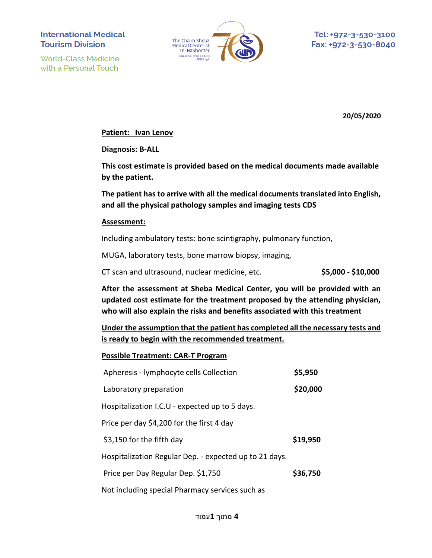**World-Class Medicine** with a Personal Touch



**20/05/2020**

#### **Patient: Ivan Lenov**

**Diagnosis: B-ALL**

**This cost estimate is provided based on the medical documents made available by the patient.**

**The patient has to arrive with all the medical documents translated into English, and all the physical pathology samples and imaging tests CDS**

#### **Assessment:**

Including ambulatory tests: bone scintigraphy, pulmonary function,

MUGA, laboratory tests, bone marrow biopsy, imaging,

CT scan and ultrasound, nuclear medicine, etc. **\$5,000 - \$10,000**

**After the assessment at Sheba Medical Center, you will be provided with an updated cost estimate for the treatment proposed by the attending physician, who will also explain the risks and benefits associated with this treatment**

**Under the assumption that the patient has completed all the necessary tests and is ready to begin with the recommended treatment.**

## **Possible Treatment: CAR-T Program**

| Apheresis - lymphocyte cells Collection                | \$5,950  |
|--------------------------------------------------------|----------|
| Laboratory preparation                                 | \$20,000 |
| Hospitalization I.C.U - expected up to 5 days.         |          |
| Price per day \$4,200 for the first 4 day              |          |
| \$3,150 for the fifth day                              | \$19,950 |
| Hospitalization Regular Dep. - expected up to 21 days. |          |
| Price per Day Regular Dep. \$1,750                     | \$36,750 |
| Not including special Pharmacy services such as        |          |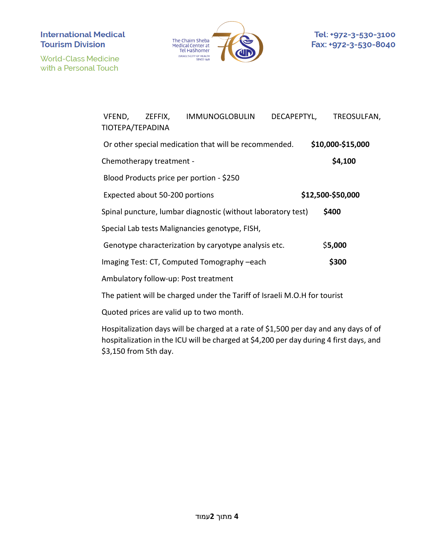**World-Class Medicine** with a Personal Touch



| VFEND,<br>TIOTEPA/TEPADINA                                                     |  | ZEFFIX, IMMUNOGLOBULIN                                       | DECAPEPTYL, | TREOSULFAN,       |  |
|--------------------------------------------------------------------------------|--|--------------------------------------------------------------|-------------|-------------------|--|
|                                                                                |  | Or other special medication that will be recommended.        |             | \$10,000-\$15,000 |  |
| Chemotherapy treatment -                                                       |  |                                                              |             | \$4,100           |  |
| Blood Products price per portion - \$250                                       |  |                                                              |             |                   |  |
| \$12,500-\$50,000<br>Expected about 50-200 portions                            |  |                                                              |             |                   |  |
|                                                                                |  | Spinal puncture, lumbar diagnostic (without laboratory test) |             | \$400             |  |
| Special Lab tests Malignancies genotype, FISH,                                 |  |                                                              |             |                   |  |
|                                                                                |  | Genotype characterization by caryotype analysis etc.         |             | \$5,000           |  |
|                                                                                |  | Imaging Test: CT, Computed Tomography -each                  |             | \$300             |  |
|                                                                                |  | Ambulatory follow-up: Post treatment                         |             |                   |  |
| The patient will be charged under the Tariff of Israeli $M \cap H$ for tourist |  |                                                              |             |                   |  |

The patient will be charged under the Tariff of Israeli M.O.H for tourist

Quoted prices are valid up to two month.

Hospitalization days will be charged at a rate of \$1,500 per day and any days of of hospitalization in the ICU will be charged at \$4,200 per day during 4 first days, and \$3,150 from 5th day.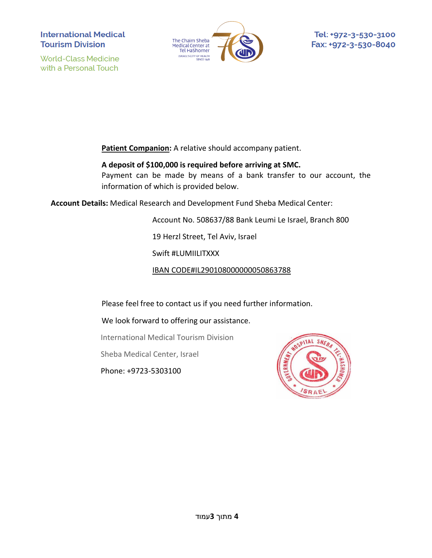**World-Class Medicine** with a Personal Touch



**Patient Companion:** A relative should accompany patient.

**A deposit of \$100,000 is required before arriving at SMC.** Payment can be made by means of a bank transfer to our account, the information of which is provided below.

**Account Details:** Medical Research and Development Fund Sheba Medical Center:

Account No. 508637/88 Bank Leumi Le Israel, Branch 800

19 Herzl Street, Tel Aviv, Israel

Swift #LUMIILITXXX

IBAN CODE#IL290108000000050863788

Please feel free to contact us if you need further information.

We look forward to offering our assistance.

International Medical Tourism Division

Sheba Medical Center, Israel

Phone: +9723-5303100